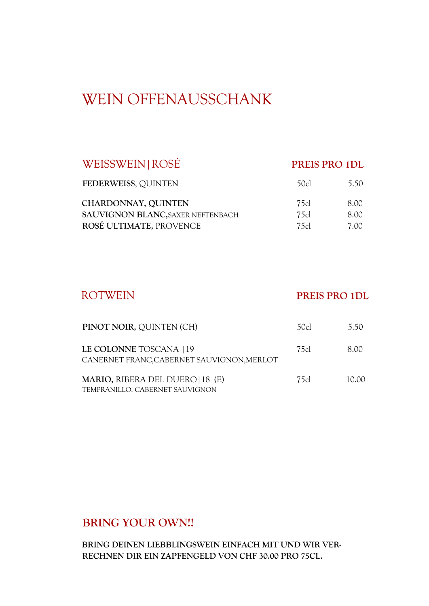# WEIN OFFENAUSSCHANK

## WEISSWEIN|ROSÉ **PREIS PRO 1DL**

| FEDERWEISS, QUINTEN                      | 50c  | 5.50  |
|------------------------------------------|------|-------|
| CHARDONNAY, QUINTEN                      | 75cl | 8. QQ |
| <b>SAUVIGNON BLANC, SAXER NEFTENBACH</b> | 75cl | 8. QQ |
| ROSÉ ULTIMATE, PROVENCE                  | 75cl | 7. OO |

## ROTWEIN **PREIS PRO 1DL**

| PINOT NOIR, QUINTEN (CH)                                              | 50cl | 5.50  |
|-----------------------------------------------------------------------|------|-------|
| LE COLONNE TOSCANA   19<br>CANERNET FRANC, CABERNET SAUVIGNON, MERLOT | 75cl | 8.00  |
| MARIO, RIBERA DEL DUERO   18 (E)<br>TEMPRANILLO, CABERNET SAUVIGNON   | 75cl | 10.00 |

## **BRING YOUR OWN!!**

**BRING DEINEN LIEBBLINGSWEIN EINFACH MIT UND WIR VER-RECHNEN DIR EIN ZAPFENGELD VON CHF 30.00 PRO 75CL.**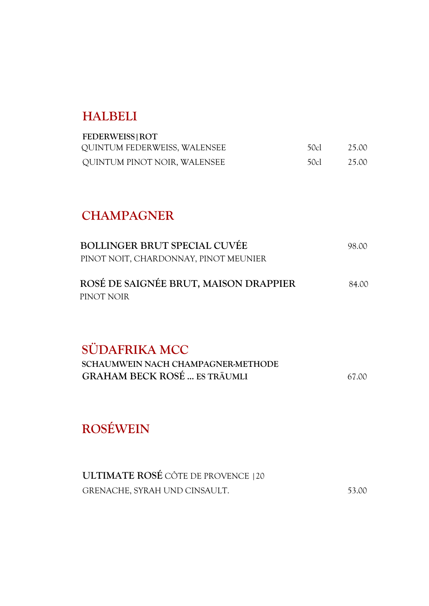# **HALBELI**

| <b>FEDERWEISS   ROT</b>      |      |       |
|------------------------------|------|-------|
| QUINTUM FEDERWEISS, WALENSEE | 50cl | 25.00 |
| QUINTUM PINOT NOIR, WALENSEE | 50cl | 25.00 |

# **CHAMPAGNER**

| <b>BOLLINGER BRUT SPECIAL CUVÉE</b><br>PINOT NOIT, CHARDONNAY, PINOT MEUNIER               | 98.00             |
|--------------------------------------------------------------------------------------------|-------------------|
| ROSÉ DE SAIGNÉE BRUT, MAISON DRAPPIER<br>PINOT NOIR                                        | 84.00             |
| SÜDAFRIKA MCC<br>SCHAUMWEIN NACH CHAMPAGNER-METHODE<br><b>GRAHAM BECK ROSÉ  ES TRÄUMLI</b> | 67<br>$(\lambda)$ |

**ROSÉWEIN** 

| <b>ULTIMATE ROSÉ CÔTE DE PROVENCE   20</b> |       |
|--------------------------------------------|-------|
| GRENACHE, SYRAH UND CINSAULT.              | 53.00 |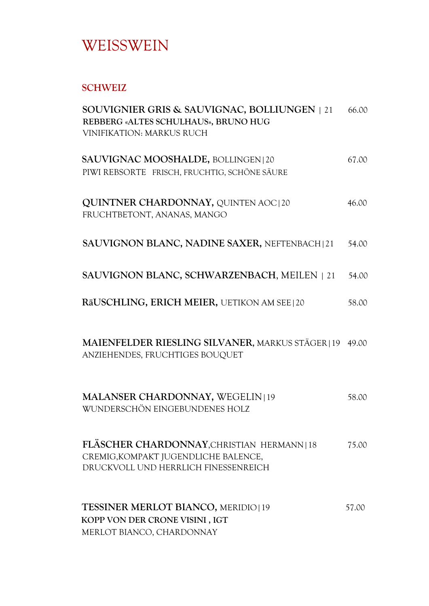# WEISSWEIN

### **SCHWEIZ**

| SOUVIGNIER GRIS & SAUVIGNAC, BOLLIUNGEN   21<br>REBBERG «ALTES SCHULHAUS», BRUNO HUG<br><b>VINIFIKATION: MARKUS RUCH</b>  | 66.00 |
|---------------------------------------------------------------------------------------------------------------------------|-------|
| SAUVIGNAC MOOSHALDE, BOLLINGEN   20<br>PIWI REBSORTE FRISCH, FRUCHTIG, SCHÖNE SÄURE                                       | 67.00 |
| <b>QUINTNER CHARDONNAY, QUINTEN AOC120</b><br>FRUCHTBETONT, ANANAS, MANGO                                                 | 46.00 |
| SAUVIGNON BLANC, NADINE SAXER, NEFTENBACH [21]                                                                            | 54.00 |
| SAUVIGNON BLANC, SCHWARZENBACH, MEILEN   21                                                                               | 54.00 |
| RäUSCHLING, ERICH MEIER, UETIKON AM SEE   20                                                                              | 58.00 |
| MAIENFELDER RIESLING SILVANER, MARKUS STÄGER   19<br>ANZIEHENDES, FRUCHTIGES BOUQUET                                      | 49.00 |
| MALANSER CHARDONNAY, WEGELIN 19<br>WUNDERSCHÖN EINGEBUNDENES HOLZ                                                         | 58.00 |
| FLÄSCHER CHARDONNAY, CHRISTIAN HERMANN 18<br>CREMIG, KOMPAKT JUGENDLICHE BALENCE,<br>DRUCKVOLL UND HERRLICH FINESSENREICH | 75.00 |
| <b>TESSINER MERLOT BIANCO, MERIDIO 19</b><br>KOPP VON DER CRONE VISINI, IGT<br>MERLOT BIANCO, CHARDONNAY                  | 57.00 |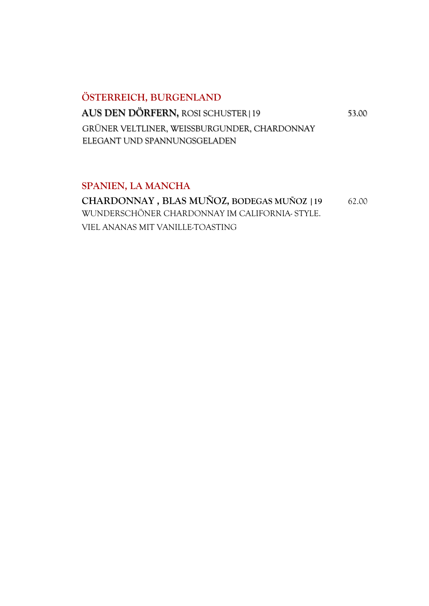# **ÖSTERREICH, BURGENLAND AUS DEN DÖRFERN, ROSI SCHUSTER | 19** 53.00 GRÜNER VELTLINER, WEISSBURGUNDER, CHARDONNAY ELEGANT UND SPANNUNGSGELADEN

#### **SPANIEN, LA MANCHA**

**CHARDONNAY , BLAS MUÑOZ, BODEGAS MUÑOZ |19** 62.00 WUNDERSCHÖNER CHARDONNAY IM CALIFORNIA- STYLE. VIEL ANANAS MIT VANILLE-TOASTING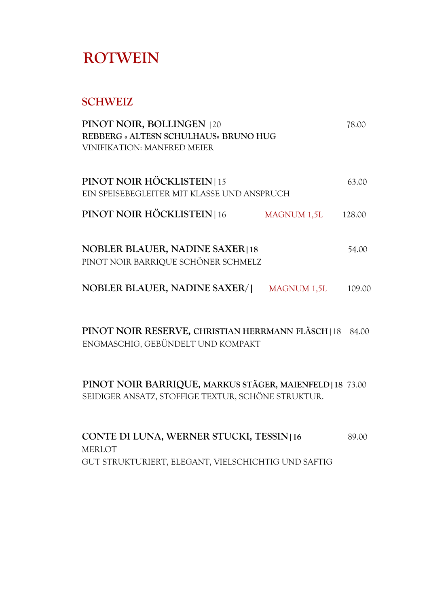# **ROTWEIN**

## **SCHWEIZ**

| PINOT NOIR, BOLLINGEN   20<br><b>REBBERG « ALTESN SCHULHAUS» BRUNO HUG</b><br>VINIFIKATION: MANFRED MEIER |                    | 78.00  |
|-----------------------------------------------------------------------------------------------------------|--------------------|--------|
| PINOT NOIR HÖCKLISTEIN 15<br>EIN SPEISEBEGLEITER MIT KLASSE UND ANSPRUCH                                  |                    | 63.00  |
| PINOT NOIR HÖCKLISTEIN   16                                                                               | <b>MAGNUM 1,5L</b> | 128.00 |
| <b>NOBLER BLAUER, NADINE SAXER18</b><br>PINOT NOIR BARRIQUE SCHÖNER SCHMELZ                               |                    | 54.00  |
| <b>NOBLER BLAUER, NADINE SAXER/1</b>                                                                      | <b>MAGNUM 1,5L</b> | 109.OC |

 **PINOT NOIR RESERVE, CHRISTIAN HERRMANN FLÄSCH|**18 84.00 ENGMASCHIG, GEBÜNDELT UND KOMPAKT

**PINOT NOIR BARRIQUE, MARKUS STÄGER, MAIENFELD|18** 73.00 SEIDIGER ANSATZ, STOFFIGE TEXTUR, SCHÖNE STRUKTUR.

**CONTE DI LUNA, WERNER STUCKI, TESSIN|16** 89.00 MERLOT GUT STRUKTURIERT, ELEGANT, VIELSCHICHTIG UND SAFTIG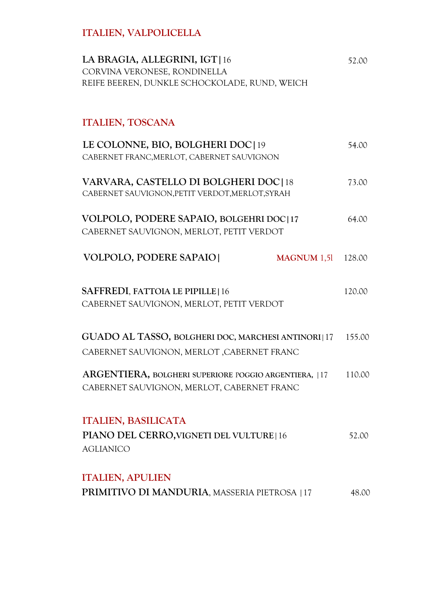# **ITALIEN, VALPOLICELLA**

| LA BRAGIA, ALLEGRINI, IGT   16<br>CORVINA VERONESE, RONDINELLA<br>REIFE BEEREN, DUNKLE SCHOCKOLADE, RUND, WEICH | 52.00  |
|-----------------------------------------------------------------------------------------------------------------|--------|
| <b>ITALIEN, TOSCANA</b>                                                                                         |        |
| LE COLONNE, BIO, BOLGHERI DOC   19<br>CABERNET FRANC, MERLOT, CABERNET SAUVIGNON                                | 54.00  |
| VARVARA, CASTELLO DI BOLGHERI DOC 18<br>CABERNET SAUVIGNON, PETIT VERDOT, MERLOT, SYRAH                         | 73.00  |
| VOLPOLO, PODERE SAPAIO, BOLGEHRI DOC 17<br>CABERNET SAUVIGNON, MERLOT, PETIT VERDOT                             | 64.00  |
| <b>VOLPOLO, PODERE SAPAIO</b><br><b>MAGNUM 1,51</b>                                                             | 128.00 |
| SAFFREDI, FATTOIA LE PIPILLE   16<br>CABERNET SAUVIGNON, MERLOT, PETIT VERDOT                                   | 120.00 |
| GUADO AL TASSO, BOLGHERI DOC, MARCHESI ANTINORI 17<br>CABERNET SAUVIGNON, MERLOT , CABERNET FRANC               | 155.00 |
| ARGENTIERA, BOLGHERI SUPERIORE POGGIO ARGENTIERA,  17<br>CABERNET SAUVIGNON, MERLOT, CABERNET FRANC             | 110.00 |
| <b>ITALIEN, BASILICATA</b><br>PIANO DEL CERRO, VIGNETI DEL VULTURE   16<br><b>AGLIANICO</b>                     | 52.00  |
| <b>ITALIEN, APULIEN</b><br>PRIMITIVO DI MANDURIA, MASSERIA PIETROSA   17                                        | 48.00  |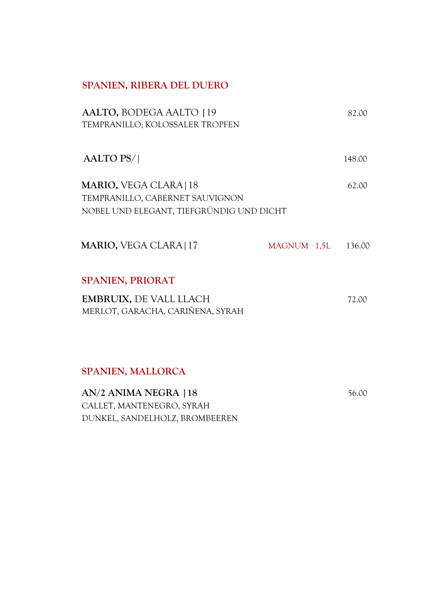## **SPANIEN, RIBERA DEL DUERO**

| AALTO, BODEGA AALTO 19<br>TEMPRANILLO; KOLOSSALER TROPFEN                                             |             | 82.00  |
|-------------------------------------------------------------------------------------------------------|-------------|--------|
| <b>AALTO PS/</b>                                                                                      |             | 148.00 |
| MARIO, VEGA CLARA   18<br>TEMPRANILLO, CABERNET SAUVIGNON<br>NOBEL UND ELEGANT, TIEFGRÜNDIG UND DICHT |             | 62.00  |
| <b>MARIO, VEGA CLARA   17</b>                                                                         | MAGNUM 1,5L | 136.00 |
| <b>SPANIEN, PRIORAT</b>                                                                               |             |        |
| <b>EMBRUIX, DE VALL LLACH</b><br>MERLOT, GARACHA, CARIÑENA, SYRAH                                     |             | 72.00  |
|                                                                                                       |             |        |

### **SPANIEN, MALLORCA**

**AN/2 ANIMA NEGRA | 18** 56.00 CALLET, MANTENEGRO, SYRAH DUNKEL, SANDELHOLZ, BROMBEEREN